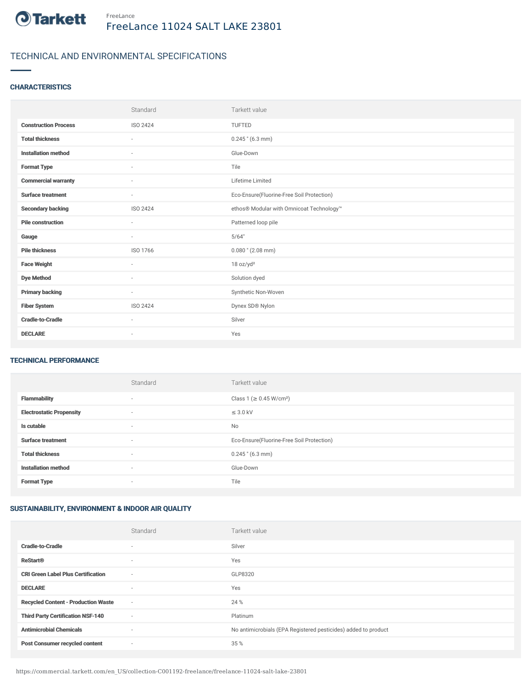

# TECHNICAL AND ENVIRONMENTAL SPECIFICATIONS

### **CHARACTERISTICS**

|                             | Standard                 | Tarkett value                             |
|-----------------------------|--------------------------|-------------------------------------------|
| <b>Construction Process</b> | <b>ISO 2424</b>          | <b>TUFTED</b>                             |
| <b>Total thickness</b>      | $\sim$                   | $0.245$ " (6.3 mm)                        |
| <b>Installation method</b>  | $\sim$                   | Glue-Down                                 |
| <b>Format Type</b>          | $\sim$                   | Tile                                      |
| <b>Commercial warranty</b>  | $\overline{\phantom{a}}$ | Lifetime Limited                          |
| <b>Surface treatment</b>    | $\overline{\phantom{a}}$ | Eco-Ensure(Fluorine-Free Soil Protection) |
| <b>Secondary backing</b>    | ISO 2424                 | ethos® Modular with Omnicoat Technology™  |
| <b>Pile construction</b>    | $\sim$                   | Patterned loop pile                       |
| Gauge                       | $\overline{\phantom{a}}$ | 5/64"                                     |
| <b>Pile thickness</b>       | ISO 1766                 | $0.080$ " (2.08 mm)                       |
| <b>Face Weight</b>          | $\overline{\phantom{a}}$ | 18 oz/yd <sup>2</sup>                     |
| <b>Dye Method</b>           | $\sim$                   | Solution dyed                             |
| <b>Primary backing</b>      | $\sim$                   | Synthetic Non-Woven                       |
| <b>Fiber System</b>         | ISO 2424                 | Dynex SD® Nylon                           |
| <b>Cradle-to-Cradle</b>     | $\sim$                   | Silver                                    |
| <b>DECLARE</b>              | $\overline{\phantom{a}}$ | Yes                                       |

#### TECHNICAL PERFORMANCE

|                                 | Standard | Tarkett value                             |
|---------------------------------|----------|-------------------------------------------|
| <b>Flammability</b>             | $\sim$   | Class 1 (≥ 0.45 W/cm <sup>2</sup> )       |
| <b>Electrostatic Propensity</b> | ٠        | $\leq$ 3.0 kV                             |
| Is cutable                      | $\sim$   | No                                        |
| <b>Surface treatment</b>        | $\sim$   | Eco-Ensure(Fluorine-Free Soil Protection) |
| <b>Total thickness</b>          | ٠        | $0.245$ " (6.3 mm)                        |
| <b>Installation method</b>      | $\sim$   | Glue-Down                                 |
| <b>Format Type</b>              | ٠        | Tile                                      |

## SUSTAINABILITY, ENVIRONMENT & INDOOR AIR QUALITY

|                                            | Standard                 | Tarkett value                                                  |
|--------------------------------------------|--------------------------|----------------------------------------------------------------|
| <b>Cradle-to-Cradle</b>                    |                          | Silver                                                         |
| <b>ReStart®</b>                            | $\overline{\phantom{a}}$ | Yes                                                            |
| <b>CRI Green Label Plus Certification</b>  | $\sim$                   | GLP8320                                                        |
| <b>DECLARE</b>                             | $\overline{\phantom{a}}$ | Yes                                                            |
| <b>Recycled Content - Production Waste</b> | $\sim$                   | 24 %                                                           |
| <b>Third Party Certification NSF-140</b>   | $\sim$                   | Platinum                                                       |
| <b>Antimicrobial Chemicals</b>             | $\sim$                   | No antimicrobials (EPA Registered pesticides) added to product |
| <b>Post Consumer recycled content</b>      | $\overline{\phantom{a}}$ | 35 %                                                           |